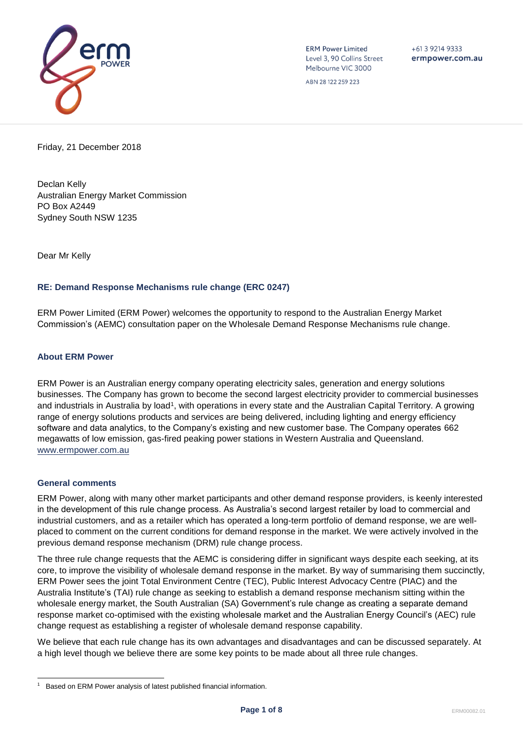

**ERM Power Limited** Level 3, 90 Collins Street Melbourne VIC 3000

 $+61392149333$ ermpower.com.au

ABN 28 122 259 223

Friday, 21 December 2018

Declan Kelly Australian Energy Market Commission PO Box A2449 Sydney South NSW 1235

Dear Mr Kelly

## **RE: Demand Response Mechanisms rule change (ERC 0247)**

ERM Power Limited (ERM Power) welcomes the opportunity to respond to the Australian Energy Market Commission's (AEMC) consultation paper on the Wholesale Demand Response Mechanisms rule change.

### **About ERM Power**

ERM Power is an Australian energy company operating electricity sales, generation and energy solutions businesses. The Company has grown to become the second largest electricity provider to commercial businesses and industrials in Australia by load<sup>1</sup>, with operations in every state and the Australian Capital Territory. A growing range of energy solutions products and services are being delivered, including lighting and energy efficiency software and data analytics, to the Company's existing and new customer base. The Company operates 662 megawatts of low emission, gas-fired peaking power stations in Western Australia and Queensland. [www.ermpower.com.au](http://www.ermpower.com.au/)

### **General comments**

l

ERM Power, along with many other market participants and other demand response providers, is keenly interested in the development of this rule change process. As Australia's second largest retailer by load to commercial and industrial customers, and as a retailer which has operated a long-term portfolio of demand response, we are wellplaced to comment on the current conditions for demand response in the market. We were actively involved in the previous demand response mechanism (DRM) rule change process.

The three rule change requests that the AEMC is considering differ in significant ways despite each seeking, at its core, to improve the visibility of wholesale demand response in the market. By way of summarising them succinctly, ERM Power sees the joint Total Environment Centre (TEC), Public Interest Advocacy Centre (PIAC) and the Australia Institute's (TAI) rule change as seeking to establish a demand response mechanism sitting within the wholesale energy market, the South Australian (SA) Government's rule change as creating a separate demand response market co-optimised with the existing wholesale market and the Australian Energy Council's (AEC) rule change request as establishing a register of wholesale demand response capability.

We believe that each rule change has its own advantages and disadvantages and can be discussed separately. At a high level though we believe there are some key points to be made about all three rule changes.

<sup>1</sup> Based on ERM Power analysis of latest published financial information.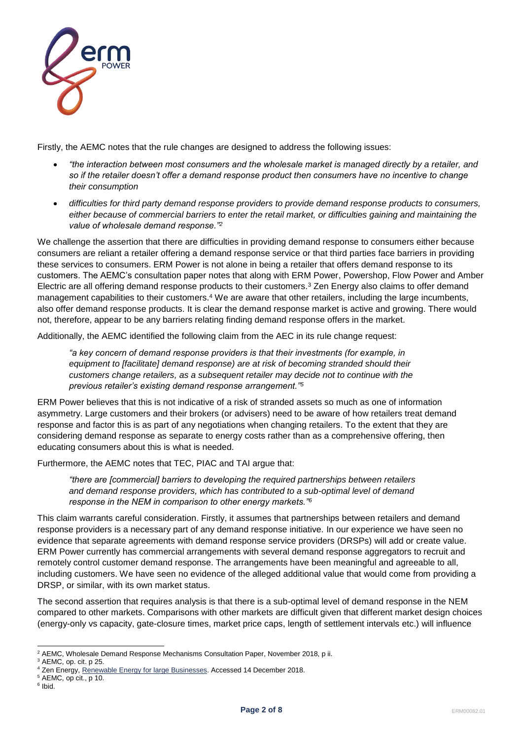

Firstly, the AEMC notes that the rule changes are designed to address the following issues:

- *"the interaction between most consumers and the wholesale market is managed directly by a retailer, and so if the retailer doesn't offer a demand response product then consumers have no incentive to change their consumption*
- *difficulties for third party demand response providers to provide demand response products to consumers, either because of commercial barriers to enter the retail market, or difficulties gaining and maintaining the value of wholesale demand response."<sup>2</sup>*

We challenge the assertion that there are difficulties in providing demand response to consumers either because consumers are reliant a retailer offering a demand response service or that third parties face barriers in providing these services to consumers. ERM Power is not alone in being a retailer that offers demand response to its customers. The AEMC's consultation paper notes that along with ERM Power, Powershop, Flow Power and Amber Electric are all offering demand response products to their customers.<sup>3</sup> Zen Energy also claims to offer demand management capabilities to their customers.<sup>4</sup> We are aware that other retailers, including the large incumbents, also offer demand response products. It is clear the demand response market is active and growing. There would not, therefore, appear to be any barriers relating finding demand response offers in the market.

Additionally, the AEMC identified the following claim from the AEC in its rule change request:

*"a key concern of demand response providers is that their investments (for example, in equipment to [facilitate] demand response) are at risk of becoming stranded should their customers change retailers, as a subsequent retailer may decide not to continue with the previous retailer's existing demand response arrangement."<sup>5</sup>*

ERM Power believes that this is not indicative of a risk of stranded assets so much as one of information asymmetry. Large customers and their brokers (or advisers) need to be aware of how retailers treat demand response and factor this is as part of any negotiations when changing retailers. To the extent that they are considering demand response as separate to energy costs rather than as a comprehensive offering, then educating consumers about this is what is needed.

Furthermore, the AEMC notes that TEC, PIAC and TAI argue that:

*"there are [commercial] barriers to developing the required partnerships between retailers and demand response providers, which has contributed to a sub-optimal level of demand response in the NEM in comparison to other energy markets."<sup>6</sup>*

This claim warrants careful consideration. Firstly, it assumes that partnerships between retailers and demand response providers is a necessary part of any demand response initiative. In our experience we have seen no evidence that separate agreements with demand response service providers (DRSPs) will add or create value. ERM Power currently has commercial arrangements with several demand response aggregators to recruit and remotely control customer demand response. The arrangements have been meaningful and agreeable to all, including customers. We have seen no evidence of the alleged additional value that would come from providing a DRSP, or similar, with its own market status.

The second assertion that requires analysis is that there is a sub-optimal level of demand response in the NEM compared to other markets. Comparisons with other markets are difficult given that different market design choices (energy-only vs capacity, gate-closure times, market price caps, length of settlement intervals etc.) will influence

l <sup>2</sup> AEMC, Wholesale Demand Response Mechanisms Consultation Paper, November 2018, p ii.

 $3$  AEMC, op. cit. p 25.

<sup>&</sup>lt;sup>4</sup> Zen Energy[, Renewable Energy for large Businesses.](https://www.zenenergy.com.au/commercial/renewable-energy-for-large-businesses/) Accessed 14 December 2018.

<sup>5</sup> AEMC, op cit., p 10.

<sup>&</sup>lt;sup>6</sup> Ibid.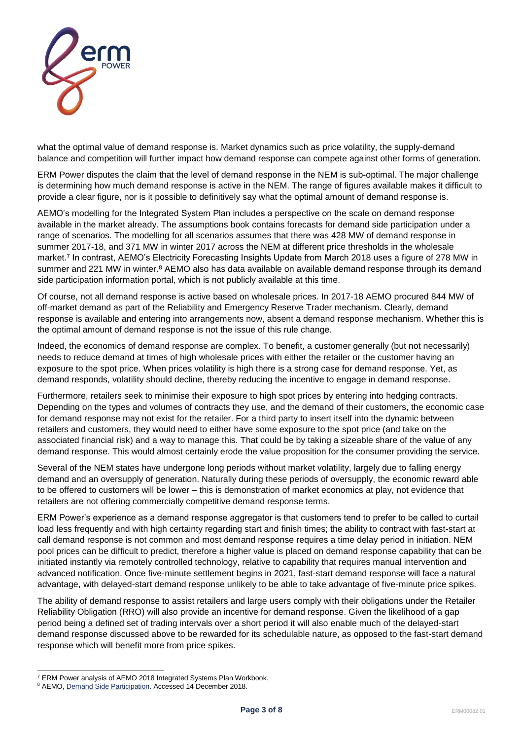

what the optimal value of demand response is. Market dynamics such as price volatility, the supply-demand balance and competition will further impact how demand response can compete against other forms of generation.

ERM Power disputes the claim that the level of demand response in the NEM is sub-optimal. The major challenge is determining how much demand response is active in the NEM. The range of figures available makes it difficult to provide a clear figure, nor is it possible to definitively say what the optimal amount of demand response is.

AEMO's modelling for the Integrated System Plan includes a perspective on the scale on demand response available in the market already. The assumptions book contains forecasts for demand side participation under a range of scenarios. The modelling for all scenarios assumes that there was 428 MW of demand response in summer 2017-18, and 371 MW in winter 2017 across the NEM at different price thresholds in the wholesale market.<sup>7</sup> In contrast, AEMO's Electricity Forecasting Insights Update from March 2018 uses a figure of 278 MW in summer and 221 MW in winter.<sup>8</sup> AEMO also has data available on available demand response through its demand side participation information portal, which is not publicly available at this time.

Of course, not all demand response is active based on wholesale prices. In 2017-18 AEMO procured 844 MW of off-market demand as part of the Reliability and Emergency Reserve Trader mechanism. Clearly, demand response is available and entering into arrangements now, absent a demand response mechanism. Whether this is the optimal amount of demand response is not the issue of this rule change.

Indeed, the economics of demand response are complex. To benefit, a customer generally (but not necessarily) needs to reduce demand at times of high wholesale prices with either the retailer or the customer having an exposure to the spot price. When prices volatility is high there is a strong case for demand response. Yet, as demand responds, volatility should decline, thereby reducing the incentive to engage in demand response.

Furthermore, retailers seek to minimise their exposure to high spot prices by entering into hedging contracts. Depending on the types and volumes of contracts they use, and the demand of their customers, the economic case for demand response may not exist for the retailer. For a third party to insert itself into the dynamic between retailers and customers, they would need to either have some exposure to the spot price (and take on the associated financial risk) and a way to manage this. That could be by taking a sizeable share of the value of any demand response. This would almost certainly erode the value proposition for the consumer providing the service.

Several of the NEM states have undergone long periods without market volatility, largely due to falling energy demand and an oversupply of generation. Naturally during these periods of oversupply, the economic reward able to be offered to customers will be lower – this is demonstration of market economics at play, not evidence that retailers are not offering commercially competitive demand response terms.

ERM Power's experience as a demand response aggregator is that customers tend to prefer to be called to curtail load less frequently and with high certainty regarding start and finish times; the ability to contract with fast-start at call demand response is not common and most demand response requires a time delay period in initiation. NEM pool prices can be difficult to predict, therefore a higher value is placed on demand response capability that can be initiated instantly via remotely controlled technology, relative to capability that requires manual intervention and advanced notification. Once five-minute settlement begins in 2021, fast-start demand response will face a natural advantage, with delayed-start demand response unlikely to be able to take advantage of five-minute price spikes.

The ability of demand response to assist retailers and large users comply with their obligations under the Retailer Reliability Obligation (RRO) will also provide an incentive for demand response. Given the likelihood of a gap period being a defined set of trading intervals over a short period it will also enable much of the delayed-start demand response discussed above to be rewarded for its schedulable nature, as opposed to the fast-start demand response which will benefit more from price spikes.

l

<sup>7</sup> ERM Power analysis of AEMO 2018 Integrated Systems Plan Workbook.

<sup>&</sup>lt;sup>8</sup> AEMO[, Demand Side Participation.](https://www.aemo.com.au/Electricity/National-Electricity-Market-NEM/Planning-and-forecasting/Electricity-Forecasting-Insights/2018-Electricity-Forecasting-Insights/Demand-Side-Participation) Accessed 14 December 2018.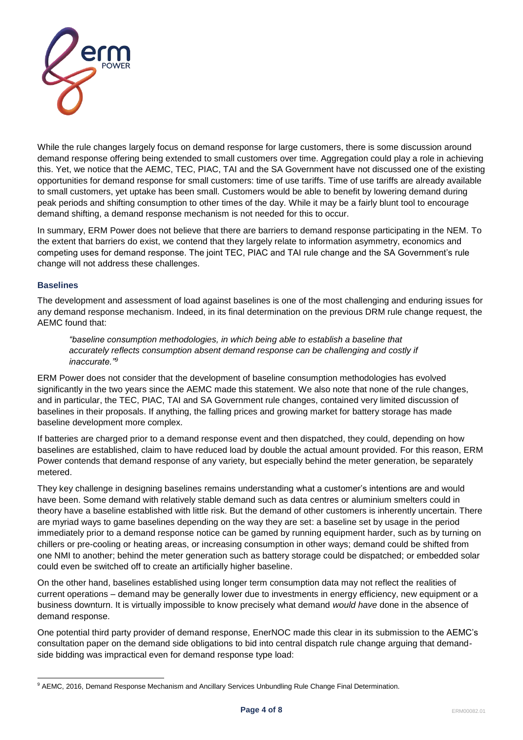

While the rule changes largely focus on demand response for large customers, there is some discussion around demand response offering being extended to small customers over time. Aggregation could play a role in achieving this. Yet, we notice that the AEMC, TEC, PIAC, TAI and the SA Government have not discussed one of the existing opportunities for demand response for small customers: time of use tariffs. Time of use tariffs are already available to small customers, yet uptake has been small. Customers would be able to benefit by lowering demand during peak periods and shifting consumption to other times of the day. While it may be a fairly blunt tool to encourage demand shifting, a demand response mechanism is not needed for this to occur.

In summary, ERM Power does not believe that there are barriers to demand response participating in the NEM. To the extent that barriers do exist, we contend that they largely relate to information asymmetry, economics and competing uses for demand response. The joint TEC, PIAC and TAI rule change and the SA Government's rule change will not address these challenges.

## **Baselines**

The development and assessment of load against baselines is one of the most challenging and enduring issues for any demand response mechanism. Indeed, in its final determination on the previous DRM rule change request, the AEMC found that:

*"baseline consumption methodologies, in which being able to establish a baseline that accurately reflects consumption absent demand response can be challenging and costly if inaccurate."<sup>9</sup>*

ERM Power does not consider that the development of baseline consumption methodologies has evolved significantly in the two years since the AEMC made this statement. We also note that none of the rule changes, and in particular, the TEC, PIAC, TAI and SA Government rule changes, contained very limited discussion of baselines in their proposals. If anything, the falling prices and growing market for battery storage has made baseline development more complex.

If batteries are charged prior to a demand response event and then dispatched, they could, depending on how baselines are established, claim to have reduced load by double the actual amount provided. For this reason, ERM Power contends that demand response of any variety, but especially behind the meter generation, be separately metered.

They key challenge in designing baselines remains understanding what a customer's intentions are and would have been. Some demand with relatively stable demand such as data centres or aluminium smelters could in theory have a baseline established with little risk. But the demand of other customers is inherently uncertain. There are myriad ways to game baselines depending on the way they are set: a baseline set by usage in the period immediately prior to a demand response notice can be gamed by running equipment harder, such as by turning on chillers or pre-cooling or heating areas, or increasing consumption in other ways; demand could be shifted from one NMI to another; behind the meter generation such as battery storage could be dispatched; or embedded solar could even be switched off to create an artificially higher baseline.

On the other hand, baselines established using longer term consumption data may not reflect the realities of current operations – demand may be generally lower due to investments in energy efficiency, new equipment or a business downturn. It is virtually impossible to know precisely what demand *would have* done in the absence of demand response.

One potential third party provider of demand response, EnerNOC made this clear in its submission to the AEMC's consultation paper on the demand side obligations to bid into central dispatch rule change arguing that demandside bidding was impractical even for demand response type load:

l <sup>9</sup> AEMC, 2016, Demand Response Mechanism and Ancillary Services Unbundling Rule Change Final Determination.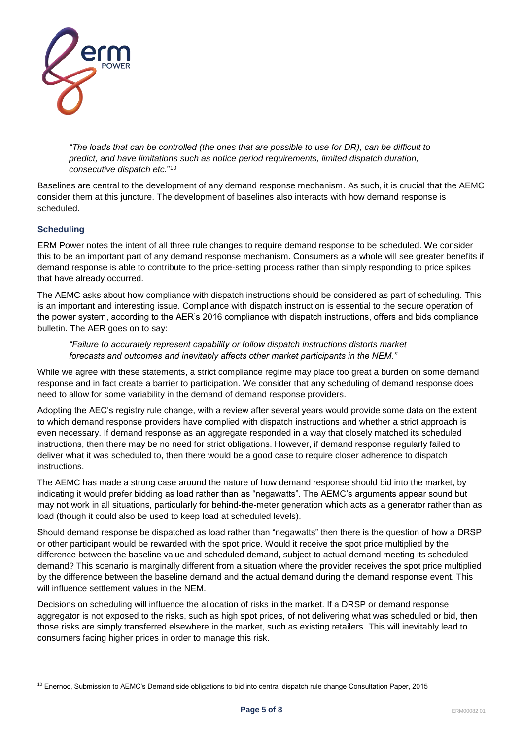

*"The loads that can be controlled (the ones that are possible to use for DR), can be difficult to predict, and have limitations such as notice period requirements, limited dispatch duration, consecutive dispatch etc.*" 10

Baselines are central to the development of any demand response mechanism. As such, it is crucial that the AEMC consider them at this juncture. The development of baselines also interacts with how demand response is scheduled.

# **Scheduling**

ERM Power notes the intent of all three rule changes to require demand response to be scheduled. We consider this to be an important part of any demand response mechanism. Consumers as a whole will see greater benefits if demand response is able to contribute to the price-setting process rather than simply responding to price spikes that have already occurred.

The AEMC asks about how compliance with dispatch instructions should be considered as part of scheduling. This is an important and interesting issue. Compliance with dispatch instruction is essential to the secure operation of the power system, according to the AER's 2016 compliance with dispatch instructions, offers and bids compliance bulletin. The AER goes on to say:

*"Failure to accurately represent capability or follow dispatch instructions distorts market forecasts and outcomes and inevitably affects other market participants in the NEM."*

While we agree with these statements, a strict compliance regime may place too great a burden on some demand response and in fact create a barrier to participation. We consider that any scheduling of demand response does need to allow for some variability in the demand of demand response providers.

Adopting the AEC's registry rule change, with a review after several years would provide some data on the extent to which demand response providers have complied with dispatch instructions and whether a strict approach is even necessary. If demand response as an aggregate responded in a way that closely matched its scheduled instructions, then there may be no need for strict obligations. However, if demand response regularly failed to deliver what it was scheduled to, then there would be a good case to require closer adherence to dispatch instructions.

The AEMC has made a strong case around the nature of how demand response should bid into the market, by indicating it would prefer bidding as load rather than as "negawatts". The AEMC's arguments appear sound but may not work in all situations, particularly for behind-the-meter generation which acts as a generator rather than as load (though it could also be used to keep load at scheduled levels).

Should demand response be dispatched as load rather than "negawatts" then there is the question of how a DRSP or other participant would be rewarded with the spot price. Would it receive the spot price multiplied by the difference between the baseline value and scheduled demand, subject to actual demand meeting its scheduled demand? This scenario is marginally different from a situation where the provider receives the spot price multiplied by the difference between the baseline demand and the actual demand during the demand response event. This will influence settlement values in the NEM.

Decisions on scheduling will influence the allocation of risks in the market. If a DRSP or demand response aggregator is not exposed to the risks, such as high spot prices, of not delivering what was scheduled or bid, then those risks are simply transferred elsewhere in the market, such as existing retailers. This will inevitably lead to consumers facing higher prices in order to manage this risk.

l <sup>10</sup> Enernoc, Submission to AEMC's Demand side obligations to bid into central dispatch rule change Consultation Paper, 2015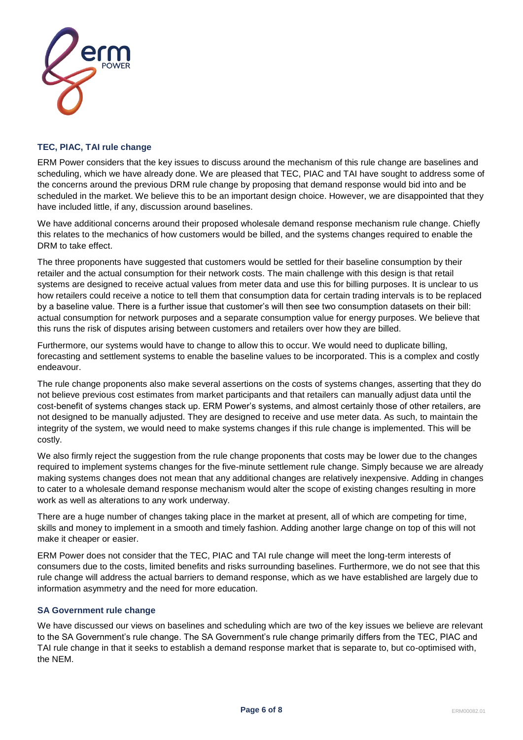

## **TEC, PIAC, TAI rule change**

ERM Power considers that the key issues to discuss around the mechanism of this rule change are baselines and scheduling, which we have already done. We are pleased that TEC, PIAC and TAI have sought to address some of the concerns around the previous DRM rule change by proposing that demand response would bid into and be scheduled in the market. We believe this to be an important design choice. However, we are disappointed that they have included little, if any, discussion around baselines.

We have additional concerns around their proposed wholesale demand response mechanism rule change. Chiefly this relates to the mechanics of how customers would be billed, and the systems changes required to enable the DRM to take effect.

The three proponents have suggested that customers would be settled for their baseline consumption by their retailer and the actual consumption for their network costs. The main challenge with this design is that retail systems are designed to receive actual values from meter data and use this for billing purposes. It is unclear to us how retailers could receive a notice to tell them that consumption data for certain trading intervals is to be replaced by a baseline value. There is a further issue that customer's will then see two consumption datasets on their bill: actual consumption for network purposes and a separate consumption value for energy purposes. We believe that this runs the risk of disputes arising between customers and retailers over how they are billed.

Furthermore, our systems would have to change to allow this to occur. We would need to duplicate billing, forecasting and settlement systems to enable the baseline values to be incorporated. This is a complex and costly endeavour.

The rule change proponents also make several assertions on the costs of systems changes, asserting that they do not believe previous cost estimates from market participants and that retailers can manually adjust data until the cost-benefit of systems changes stack up. ERM Power's systems, and almost certainly those of other retailers, are not designed to be manually adjusted. They are designed to receive and use meter data. As such, to maintain the integrity of the system, we would need to make systems changes if this rule change is implemented. This will be costly.

We also firmly reject the suggestion from the rule change proponents that costs may be lower due to the changes required to implement systems changes for the five-minute settlement rule change. Simply because we are already making systems changes does not mean that any additional changes are relatively inexpensive. Adding in changes to cater to a wholesale demand response mechanism would alter the scope of existing changes resulting in more work as well as alterations to any work underway.

There are a huge number of changes taking place in the market at present, all of which are competing for time, skills and money to implement in a smooth and timely fashion. Adding another large change on top of this will not make it cheaper or easier.

ERM Power does not consider that the TEC, PIAC and TAI rule change will meet the long-term interests of consumers due to the costs, limited benefits and risks surrounding baselines. Furthermore, we do not see that this rule change will address the actual barriers to demand response, which as we have established are largely due to information asymmetry and the need for more education.

## **SA Government rule change**

We have discussed our views on baselines and scheduling which are two of the key issues we believe are relevant to the SA Government's rule change. The SA Government's rule change primarily differs from the TEC, PIAC and TAI rule change in that it seeks to establish a demand response market that is separate to, but co-optimised with, the NEM.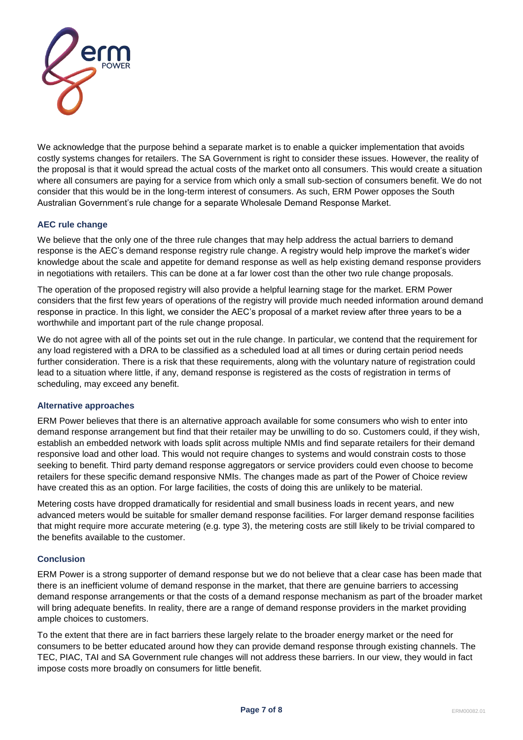

We acknowledge that the purpose behind a separate market is to enable a quicker implementation that avoids costly systems changes for retailers. The SA Government is right to consider these issues. However, the reality of the proposal is that it would spread the actual costs of the market onto all consumers. This would create a situation where all consumers are paying for a service from which only a small sub-section of consumers benefit. We do not consider that this would be in the long-term interest of consumers. As such, ERM Power opposes the South Australian Government's rule change for a separate Wholesale Demand Response Market.

# **AEC rule change**

We believe that the only one of the three rule changes that may help address the actual barriers to demand response is the AEC's demand response registry rule change. A registry would help improve the market's wider knowledge about the scale and appetite for demand response as well as help existing demand response providers in negotiations with retailers. This can be done at a far lower cost than the other two rule change proposals.

The operation of the proposed registry will also provide a helpful learning stage for the market. ERM Power considers that the first few years of operations of the registry will provide much needed information around demand response in practice. In this light, we consider the AEC's proposal of a market review after three years to be a worthwhile and important part of the rule change proposal.

We do not agree with all of the points set out in the rule change. In particular, we contend that the requirement for any load registered with a DRA to be classified as a scheduled load at all times or during certain period needs further consideration. There is a risk that these requirements, along with the voluntary nature of registration could lead to a situation where little, if any, demand response is registered as the costs of registration in terms of scheduling, may exceed any benefit.

## **Alternative approaches**

ERM Power believes that there is an alternative approach available for some consumers who wish to enter into demand response arrangement but find that their retailer may be unwilling to do so. Customers could, if they wish, establish an embedded network with loads split across multiple NMIs and find separate retailers for their demand responsive load and other load. This would not require changes to systems and would constrain costs to those seeking to benefit. Third party demand response aggregators or service providers could even choose to become retailers for these specific demand responsive NMIs. The changes made as part of the Power of Choice review have created this as an option. For large facilities, the costs of doing this are unlikely to be material.

Metering costs have dropped dramatically for residential and small business loads in recent years, and new advanced meters would be suitable for smaller demand response facilities. For larger demand response facilities that might require more accurate metering (e.g. type 3), the metering costs are still likely to be trivial compared to the benefits available to the customer.

### **Conclusion**

ERM Power is a strong supporter of demand response but we do not believe that a clear case has been made that there is an inefficient volume of demand response in the market, that there are genuine barriers to accessing demand response arrangements or that the costs of a demand response mechanism as part of the broader market will bring adequate benefits. In reality, there are a range of demand response providers in the market providing ample choices to customers.

To the extent that there are in fact barriers these largely relate to the broader energy market or the need for consumers to be better educated around how they can provide demand response through existing channels. The TEC, PIAC, TAI and SA Government rule changes will not address these barriers. In our view, they would in fact impose costs more broadly on consumers for little benefit.